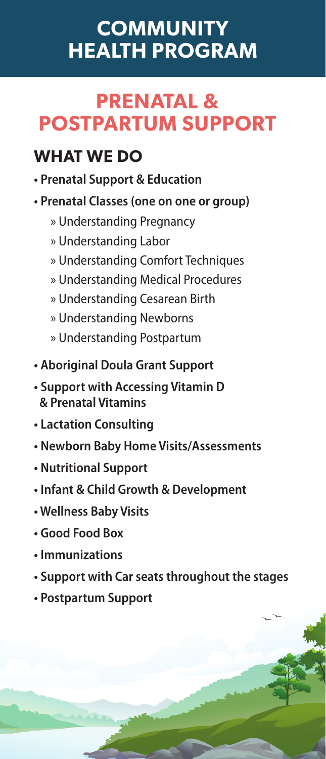# **COMMUNITY HEALTH PROGRAM**

# **PRENATAL & POSTPARTUM SUPPORT**

### **WHAT WE DO**

- **Prenatal Support & Education**
- **Prenatal Classes (one on one or group)**
	- » Understanding Pregnancy
	- » Understanding Labor
	- » Understanding Comfort Techniques
	- » Understanding Medical Procedures
	- » Understanding Cesarean Birth
	- » Understanding Newborns
	- » Understanding Postpartum
- **Aboriginal Doula Grant Support**
- **Support with Accessing Vitamin D & Prenatal Vitamins**
- **Lactation Consulting**
- **Newborn Baby Home Visits/Assessments**
- **Nutritional Support**
- **Infant & Child Growth & Development**
- **Wellness Baby Visits**
- **Good Food Box**
- **Immunizations**
- **Support with Car seats throughout the stages**
- **Postpartum Support**